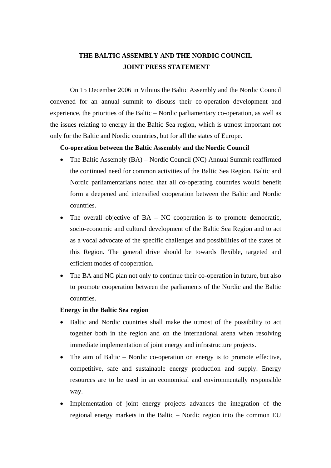## **THE BALTIC ASSEMBLY AND THE NORDIC COUNCIL JOINT PRESS STATEMENT**

On 15 December 2006 in Vilnius the Baltic Assembly and the Nordic Council convened for an annual summit to discuss their co-operation development and experience, the priorities of the Baltic – Nordic parliamentary co-operation, as well as the issues relating to energy in the Baltic Sea region, which is utmost important not only for the Baltic and Nordic countries, but for all the states of Europe.

## **Co-operation between the Baltic Assembly and the Nordic Council**

- The Baltic Assembly (BA) Nordic Council (NC) Annual Summit reaffirmed the continued need for common activities of the Baltic Sea Region. Baltic and Nordic parliamentarians noted that all co-operating countries would benefit form a deepened and intensified cooperation between the Baltic and Nordic countries.
- The overall objective of  $BA NC$  cooperation is to promote democratic, socio-economic and cultural development of the Baltic Sea Region and to act as a vocal advocate of the specific challenges and possibilities of the states of this Region. The general drive should be towards flexible, targeted and efficient modes of cooperation.
- The BA and NC plan not only to continue their co-operation in future, but also to promote cooperation between the parliaments of the Nordic and the Baltic countries.

## **Energy in the Baltic Sea region**

- Baltic and Nordic countries shall make the utmost of the possibility to act together both in the region and on the international arena when resolving immediate implementation of joint energy and infrastructure projects.
- The aim of Baltic Nordic co-operation on energy is to promote effective, competitive, safe and sustainable energy production and supply. Energy resources are to be used in an economical and environmentally responsible way.
- Implementation of joint energy projects advances the integration of the regional energy markets in the Baltic – Nordic region into the common EU